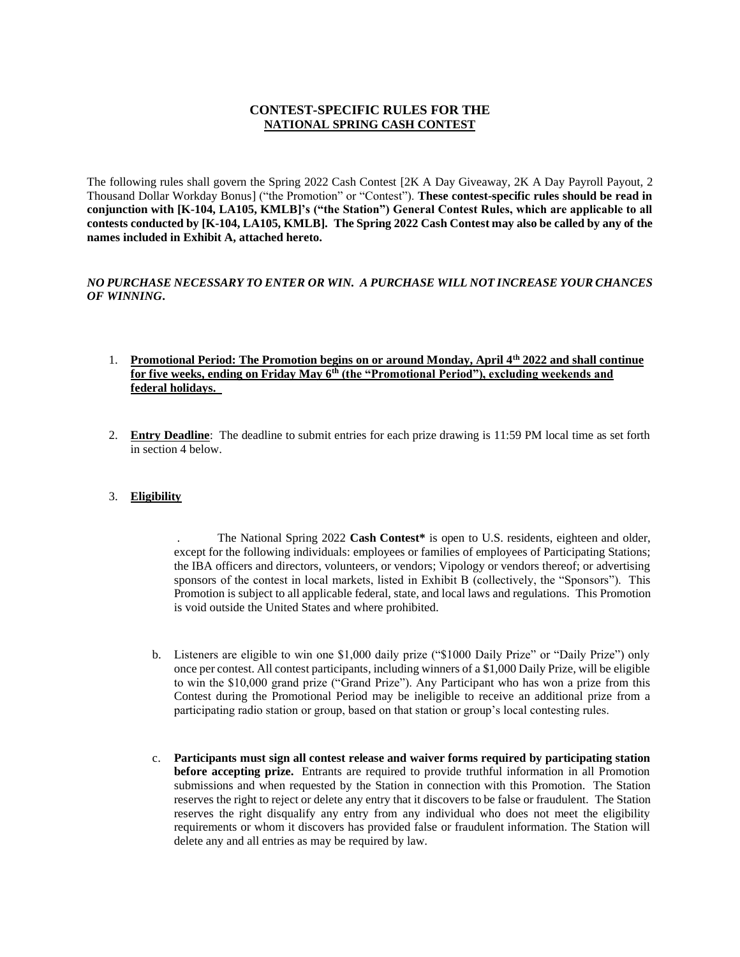## **CONTEST-SPECIFIC RULES FOR THE NATIONAL SPRING CASH CONTEST**

The following rules shall govern the Spring 2022 Cash Contest [2K A Day Giveaway, 2K A Day Payroll Payout, 2 Thousand Dollar Workday Bonus] ("the Promotion" or "Contest"). **These contest-specific rules should be read in conjunction with [K-104, LA105, KMLB]'s ("the Station") General Contest Rules, which are applicable to all contests conducted by [K-104, LA105, KMLB]. The Spring 2022 Cash Contest may also be called by any of the names included in Exhibit A, attached hereto.**

#### *NO PURCHASE NECESSARY TO ENTER OR WIN. A PURCHASE WILL NOT INCREASE YOUR CHANCES OF WINNING***.**

#### 1. **Promotional Period: The Promotion begins on or around Monday, April 4th 2022 and shall continue for five weeks, ending on Friday May 6th (the "Promotional Period"), excluding weekends and federal holidays.**

2. **Entry Deadline**: The deadline to submit entries for each prize drawing is 11:59 PM local time as set forth in section 4 below.

#### 3. **Eligibility**

. The National Spring 2022 **Cash Contest\*** is open to U.S. residents, eighteen and older, except for the following individuals: employees or families of employees of Participating Stations; the IBA officers and directors, volunteers, or vendors; Vipology or vendors thereof; or advertising sponsors of the contest in local markets, listed in Exhibit B (collectively, the "Sponsors"). This Promotion is subject to all applicable federal, state, and local laws and regulations. This Promotion is void outside the United States and where prohibited.

- b. Listeners are eligible to win one \$1,000 daily prize ("\$1000 Daily Prize" or "Daily Prize") only once per contest. All contest participants, including winners of a \$1,000 Daily Prize, will be eligible to win the \$10,000 grand prize ("Grand Prize"). Any Participant who has won a prize from this Contest during the Promotional Period may be ineligible to receive an additional prize from a participating radio station or group, based on that station or group's local contesting rules.
- c. **Participants must sign all contest release and waiver forms required by participating station before accepting prize.** Entrants are required to provide truthful information in all Promotion submissions and when requested by the Station in connection with this Promotion. The Station reserves the right to reject or delete any entry that it discovers to be false or fraudulent. The Station reserves the right disqualify any entry from any individual who does not meet the eligibility requirements or whom it discovers has provided false or fraudulent information. The Station will delete any and all entries as may be required by law.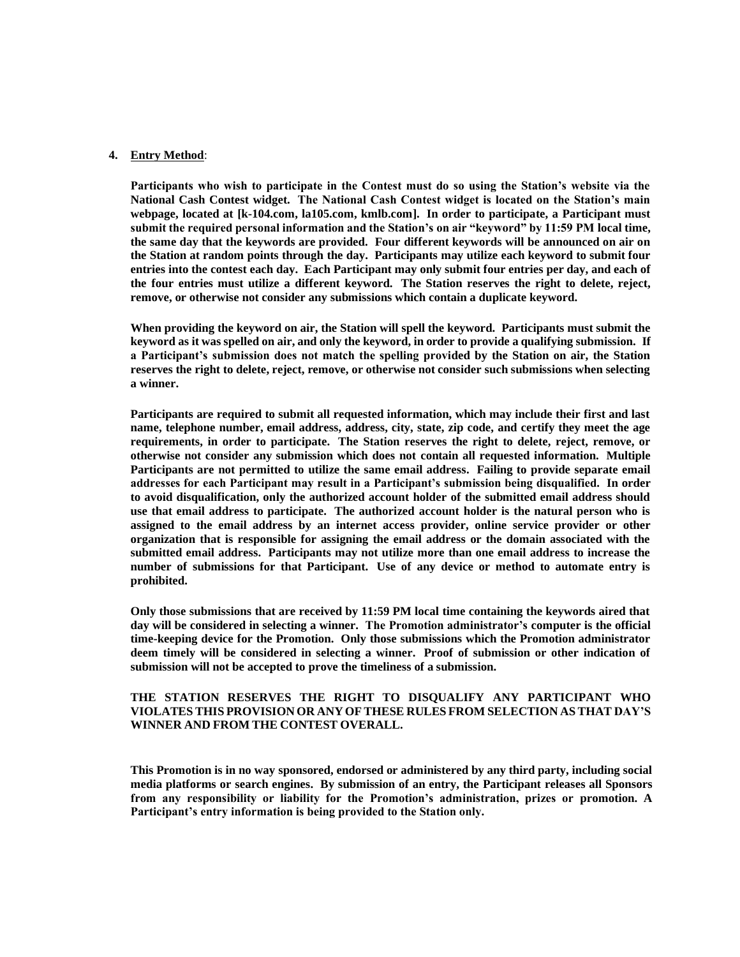#### **4. Entry Method**:

**Participants who wish to participate in the Contest must do so using the Station's website via the National Cash Contest widget. The National Cash Contest widget is located on the Station's main webpage, located at [k-104.com, la105.com, kmlb.com]. In order to participate, a Participant must submit the required personal information and the Station's on air "keyword" by 11:59 PM local time, the same day that the keywords are provided. Four different keywords will be announced on air on the Station at random points through the day. Participants may utilize each keyword to submit four entries into the contest each day. Each Participant may only submit four entries per day, and each of the four entries must utilize a different keyword. The Station reserves the right to delete, reject, remove, or otherwise not consider any submissions which contain a duplicate keyword.**

**When providing the keyword on air, the Station will spell the keyword. Participants must submit the keyword as it was spelled on air, and only the keyword, in order to provide a qualifying submission. If a Participant's submission does not match the spelling provided by the Station on air, the Station reserves the right to delete, reject, remove, or otherwise not consider such submissions when selecting a winner.**

**Participants are required to submit all requested information, which may include their first and last name, telephone number, email address, address, city, state, zip code, and certify they meet the age requirements, in order to participate. The Station reserves the right to delete, reject, remove, or otherwise not consider any submission which does not contain all requested information. Multiple Participants are not permitted to utilize the same email address. Failing to provide separate email addresses for each Participant may result in a Participant's submission being disqualified. In order to avoid disqualification, only the authorized account holder of the submitted email address should use that email address to participate. The authorized account holder is the natural person who is assigned to the email address by an internet access provider, online service provider or other organization that is responsible for assigning the email address or the domain associated with the submitted email address. Participants may not utilize more than one email address to increase the number of submissions for that Participant. Use of any device or method to automate entry is prohibited.** 

**Only those submissions that are received by 11:59 PM local time containing the keywords aired that day will be considered in selecting a winner. The Promotion administrator's computer is the official time-keeping device for the Promotion. Only those submissions which the Promotion administrator deem timely will be considered in selecting a winner. Proof of submission or other indication of submission will not be accepted to prove the timeliness of a submission.**

#### **THE STATION RESERVES THE RIGHT TO DISQUALIFY ANY PARTICIPANT WHO VIOLATES THIS PROVISION OR ANY OFTHESE RULES FROM SELECTION AS THAT DAY'S WINNER AND FROM THE CONTEST OVERALL.**

**This Promotion is in no way sponsored, endorsed or administered by any third party, including social media platforms or search engines. By submission of an entry, the Participant releases all Sponsors from any responsibility or liability for the Promotion's administration, prizes or promotion. A Participant's entry information is being provided to the Station only.**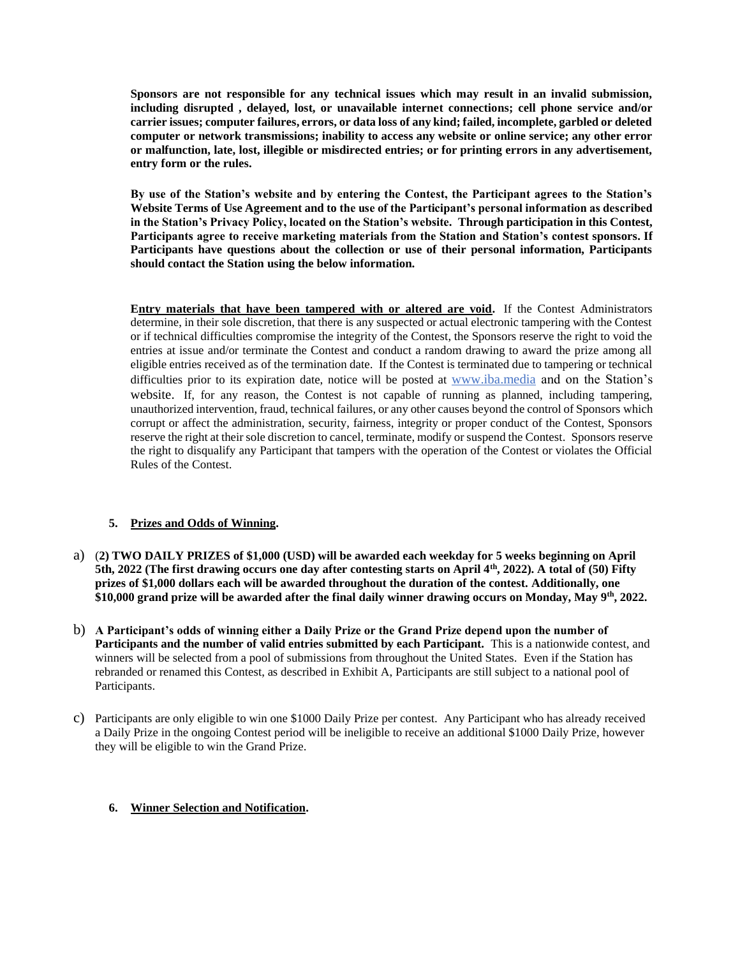**Sponsors are not responsible for any technical issues which may result in an invalid submission, including disrupted , delayed, lost, or unavailable internet connections; cell phone service and/or carrier issues; computer failures, errors, or data loss of any kind; failed, incomplete, garbled or deleted computer or network transmissions; inability to access any website or online service; any other error or malfunction, late, lost, illegible or misdirected entries; or for printing errors in any advertisement, entry form or the rules.**

**By use of the Station's website and by entering the Contest, the Participant agrees to the Station's Website Terms of Use Agreement and to the use of the Participant's personal information as described in the Station's Privacy Policy, located on the Station's website. Through participation in this Contest, Participants agree to receive marketing materials from the Station and Station's contest sponsors. If Participants have questions about the collection or use of their personal information, Participants should contact the Station using the below information.**

**Entry materials that have been tampered with or altered are void.** If the Contest Administrators determine, in their sole discretion, that there is any suspected or actual electronic tampering with the Contest or if technical difficulties compromise the integrity of the Contest, the Sponsors reserve the right to void the entries at issue and/or terminate the Contest and conduct a random drawing to award the prize among all eligible entries received as of the termination date. If the Contest is terminated due to tampering or technical difficulties prior to its expiration date, notice will be posted at www.iba.media and on the Station's website. If, for any reason, the Contest is not capable of running as planned, including tampering, unauthorized intervention, fraud, technical failures, or any other causes beyond the control of Sponsors which corrupt or affect the administration, security, fairness, integrity or proper conduct of the Contest, Sponsors reserve the right at their sole discretion to cancel, terminate, modify or suspend the Contest. Sponsors reserve the right to disqualify any Participant that tampers with the operation of the Contest or violates the Official Rules of the Contest.

#### **5. Prizes and Odds of Winning.**

- a) (**2) TWO DAILY PRIZES of \$1,000 (USD) will be awarded each weekday for 5 weeks beginning on April 5th, 2022 (The first drawing occurs one day after contesting starts on April 4th, 2022). A total of (50) Fifty prizes of \$1,000 dollars each will be awarded throughout the duration of the contest. Additionally, one \$10,000 grand prize will be awarded after the final daily winner drawing occurs on Monday, May 9th, 2022.**
- b) **A Participant's odds of winning either a Daily Prize or the Grand Prize depend upon the number of Participants and the number of valid entries submitted by each Participant.** This is a nationwide contest, and winners will be selected from a pool of submissions from throughout the United States. Even if the Station has rebranded or renamed this Contest, as described in Exhibit A, Participants are still subject to a national pool of Participants.
- c) Participants are only eligible to win one \$1000 Daily Prize per contest. Any Participant who has already received a Daily Prize in the ongoing Contest period will be ineligible to receive an additional \$1000 Daily Prize, however they will be eligible to win the Grand Prize.

#### **6. Winner Selection and Notification.**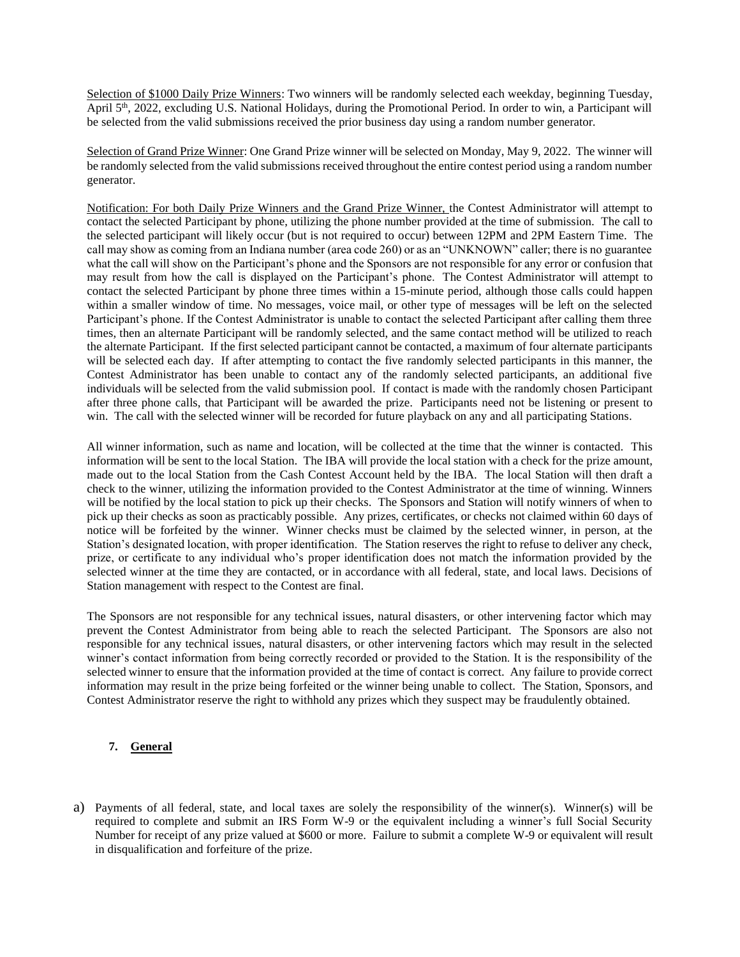Selection of \$1000 Daily Prize Winners: Two winners will be randomly selected each weekday, beginning Tuesday, April 5th, 2022, excluding U.S. National Holidays, during the Promotional Period. In order to win, a Participant will be selected from the valid submissions received the prior business day using a random number generator.

Selection of Grand Prize Winner: One Grand Prize winner will be selected on Monday, May 9, 2022. The winner will be randomly selected from the valid submissions received throughout the entire contest period using a random number generator.

Notification: For both Daily Prize Winners and the Grand Prize Winner, the Contest Administrator will attempt to contact the selected Participant by phone, utilizing the phone number provided at the time of submission. The call to the selected participant will likely occur (but is not required to occur) between 12PM and 2PM Eastern Time. The call may show as coming from an Indiana number (area code 260) or as an "UNKNOWN" caller; there is no guarantee what the call will show on the Participant's phone and the Sponsors are not responsible for any error or confusion that may result from how the call is displayed on the Participant's phone. The Contest Administrator will attempt to contact the selected Participant by phone three times within a 15-minute period, although those calls could happen within a smaller window of time. No messages, voice mail, or other type of messages will be left on the selected Participant's phone. If the Contest Administrator is unable to contact the selected Participant after calling them three times, then an alternate Participant will be randomly selected, and the same contact method will be utilized to reach the alternate Participant. If the first selected participant cannot be contacted, a maximum of four alternate participants will be selected each day. If after attempting to contact the five randomly selected participants in this manner, the Contest Administrator has been unable to contact any of the randomly selected participants, an additional five individuals will be selected from the valid submission pool. If contact is made with the randomly chosen Participant after three phone calls, that Participant will be awarded the prize. Participants need not be listening or present to win. The call with the selected winner will be recorded for future playback on any and all participating Stations.

All winner information, such as name and location, will be collected at the time that the winner is contacted. This information will be sent to the local Station. The IBA will provide the local station with a check for the prize amount, made out to the local Station from the Cash Contest Account held by the IBA. The local Station will then draft a check to the winner, utilizing the information provided to the Contest Administrator at the time of winning. Winners will be notified by the local station to pick up their checks. The Sponsors and Station will notify winners of when to pick up their checks as soon as practicably possible. Any prizes, certificates, or checks not claimed within 60 days of notice will be forfeited by the winner. Winner checks must be claimed by the selected winner, in person, at the Station's designated location, with proper identification. The Station reserves the right to refuse to deliver any check, prize, or certificate to any individual who's proper identification does not match the information provided by the selected winner at the time they are contacted, or in accordance with all federal, state, and local laws. Decisions of Station management with respect to the Contest are final.

The Sponsors are not responsible for any technical issues, natural disasters, or other intervening factor which may prevent the Contest Administrator from being able to reach the selected Participant. The Sponsors are also not responsible for any technical issues, natural disasters, or other intervening factors which may result in the selected winner's contact information from being correctly recorded or provided to the Station. It is the responsibility of the selected winner to ensure that the information provided at the time of contact is correct. Any failure to provide correct information may result in the prize being forfeited or the winner being unable to collect. The Station, Sponsors, and Contest Administrator reserve the right to withhold any prizes which they suspect may be fraudulently obtained.

#### **7. General**

a) Payments of all federal, state, and local taxes are solely the responsibility of the winner(s). Winner(s) will be required to complete and submit an IRS Form W-9 or the equivalent including a winner's full Social Security Number for receipt of any prize valued at \$600 or more. Failure to submit a complete W-9 or equivalent will result in disqualification and forfeiture of the prize.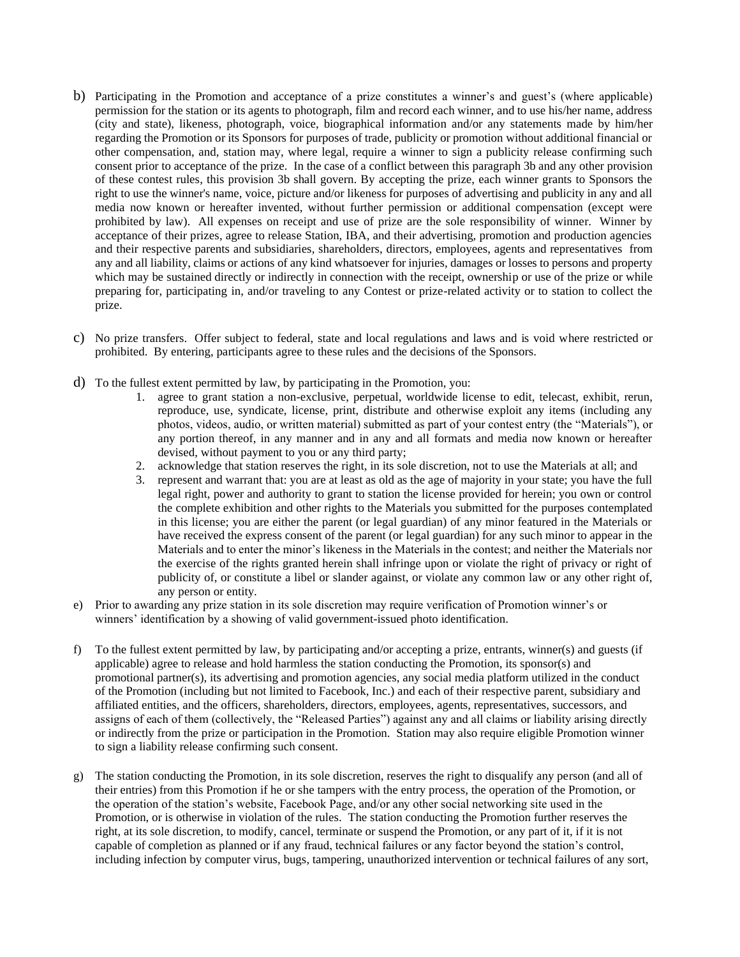- b) Participating in the Promotion and acceptance of a prize constitutes a winner's and guest's (where applicable) permission for the station or its agents to photograph, film and record each winner, and to use his/her name, address (city and state), likeness, photograph, voice, biographical information and/or any statements made by him/her regarding the Promotion or its Sponsors for purposes of trade, publicity or promotion without additional financial or other compensation, and, station may, where legal, require a winner to sign a publicity release confirming such consent prior to acceptance of the prize. In the case of a conflict between this paragraph 3b and any other provision of these contest rules, this provision 3b shall govern. By accepting the prize, each winner grants to Sponsors the right to use the winner's name, voice, picture and/or likeness for purposes of advertising and publicity in any and all media now known or hereafter invented, without further permission or additional compensation (except were prohibited by law). All expenses on receipt and use of prize are the sole responsibility of winner. Winner by acceptance of their prizes, agree to release Station, IBA, and their advertising, promotion and production agencies and their respective parents and subsidiaries, shareholders, directors, employees, agents and representatives from any and all liability, claims or actions of any kind whatsoever for injuries, damages or losses to persons and property which may be sustained directly or indirectly in connection with the receipt, ownership or use of the prize or while preparing for, participating in, and/or traveling to any Contest or prize-related activity or to station to collect the prize.
- c) No prize transfers. Offer subject to federal, state and local regulations and laws and is void where restricted or prohibited. By entering, participants agree to these rules and the decisions of the Sponsors.
- d) To the fullest extent permitted by law, by participating in the Promotion, you:
	- 1. agree to grant station a non-exclusive, perpetual, worldwide license to edit, telecast, exhibit, rerun, reproduce, use, syndicate, license, print, distribute and otherwise exploit any items (including any photos, videos, audio, or written material) submitted as part of your contest entry (the "Materials"), or any portion thereof, in any manner and in any and all formats and media now known or hereafter devised, without payment to you or any third party;
	- 2. acknowledge that station reserves the right, in its sole discretion, not to use the Materials at all; and
	- 3. represent and warrant that: you are at least as old as the age of majority in your state; you have the full legal right, power and authority to grant to station the license provided for herein; you own or control the complete exhibition and other rights to the Materials you submitted for the purposes contemplated in this license; you are either the parent (or legal guardian) of any minor featured in the Materials or have received the express consent of the parent (or legal guardian) for any such minor to appear in the Materials and to enter the minor's likeness in the Materials in the contest; and neither the Materials nor the exercise of the rights granted herein shall infringe upon or violate the right of privacy or right of publicity of, or constitute a libel or slander against, or violate any common law or any other right of, any person or entity.
- e) Prior to awarding any prize station in its sole discretion may require verification of Promotion winner's or winners' identification by a showing of valid government-issued photo identification.
- f) To the fullest extent permitted by law, by participating and/or accepting a prize, entrants, winner(s) and guests (if applicable) agree to release and hold harmless the station conducting the Promotion, its sponsor(s) and promotional partner(s), its advertising and promotion agencies, any social media platform utilized in the conduct of the Promotion (including but not limited to Facebook, Inc.) and each of their respective parent, subsidiary and affiliated entities, and the officers, shareholders, directors, employees, agents, representatives, successors, and assigns of each of them (collectively, the "Released Parties") against any and all claims or liability arising directly or indirectly from the prize or participation in the Promotion. Station may also require eligible Promotion winner to sign a liability release confirming such consent.
- g) The station conducting the Promotion, in its sole discretion, reserves the right to disqualify any person (and all of their entries) from this Promotion if he or she tampers with the entry process, the operation of the Promotion, or the operation of the station's website, Facebook Page, and/or any other social networking site used in the Promotion, or is otherwise in violation of the rules. The station conducting the Promotion further reserves the right, at its sole discretion, to modify, cancel, terminate or suspend the Promotion, or any part of it, if it is not capable of completion as planned or if any fraud, technical failures or any factor beyond the station's control, including infection by computer virus, bugs, tampering, unauthorized intervention or technical failures of any sort,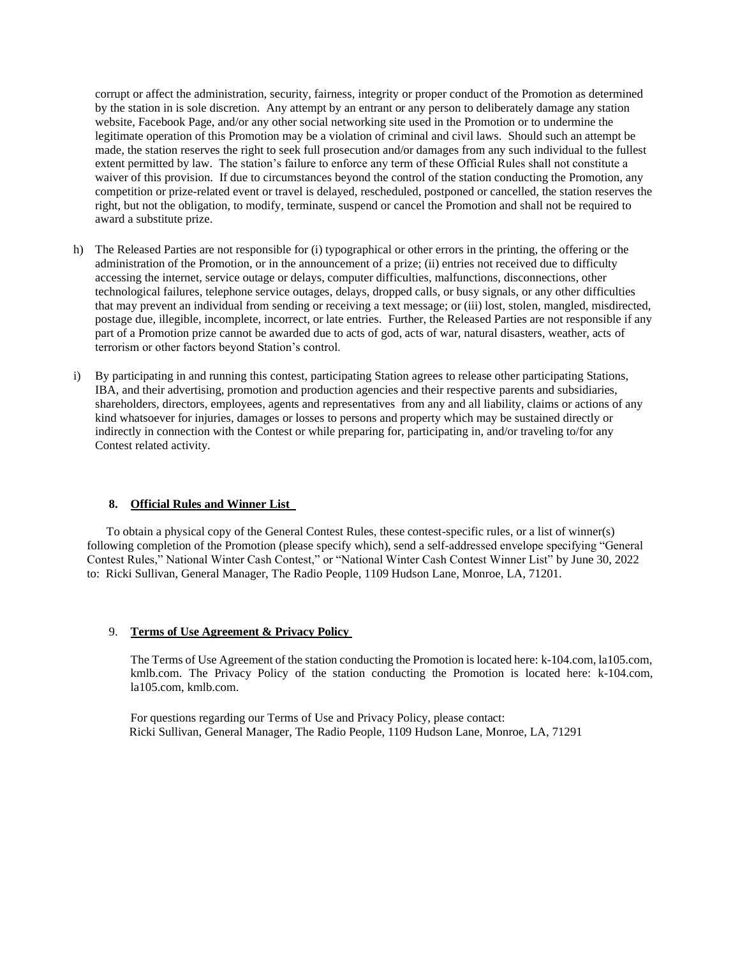corrupt or affect the administration, security, fairness, integrity or proper conduct of the Promotion as determined by the station in is sole discretion. Any attempt by an entrant or any person to deliberately damage any station website, Facebook Page, and/or any other social networking site used in the Promotion or to undermine the legitimate operation of this Promotion may be a violation of criminal and civil laws. Should such an attempt be made, the station reserves the right to seek full prosecution and/or damages from any such individual to the fullest extent permitted by law. The station's failure to enforce any term of these Official Rules shall not constitute a waiver of this provision. If due to circumstances beyond the control of the station conducting the Promotion, any competition or prize-related event or travel is delayed, rescheduled, postponed or cancelled, the station reserves the right, but not the obligation, to modify, terminate, suspend or cancel the Promotion and shall not be required to award a substitute prize.

- h) The Released Parties are not responsible for (i) typographical or other errors in the printing, the offering or the administration of the Promotion, or in the announcement of a prize; (ii) entries not received due to difficulty accessing the internet, service outage or delays, computer difficulties, malfunctions, disconnections, other technological failures, telephone service outages, delays, dropped calls, or busy signals, or any other difficulties that may prevent an individual from sending or receiving a text message; or (iii) lost, stolen, mangled, misdirected, postage due, illegible, incomplete, incorrect, or late entries. Further, the Released Parties are not responsible if any part of a Promotion prize cannot be awarded due to acts of god, acts of war, natural disasters, weather, acts of terrorism or other factors beyond Station's control.
- i) By participating in and running this contest, participating Station agrees to release other participating Stations, IBA, and their advertising, promotion and production agencies and their respective parents and subsidiaries, shareholders, directors, employees, agents and representatives from any and all liability, claims or actions of any kind whatsoever for injuries, damages or losses to persons and property which may be sustained directly or indirectly in connection with the Contest or while preparing for, participating in, and/or traveling to/for any Contest related activity.

#### **8. Official Rules and Winner List**

To obtain a physical copy of the General Contest Rules, these contest-specific rules, or a list of winner(s) following completion of the Promotion (please specify which), send a self-addressed envelope specifying "General Contest Rules," National Winter Cash Contest," or "National Winter Cash Contest Winner List" by June 30, 2022 to: Ricki Sullivan, General Manager, The Radio People, 1109 Hudson Lane, Monroe, LA, 71201.

#### 9. **Terms of Use Agreement & Privacy Policy**

The Terms of Use Agreement of the station conducting the Promotion is located here: k-104.com, la105.com, kmlb.com. The Privacy Policy of the station conducting the Promotion is located here: k-104.com, la105.com, kmlb.com.

For questions regarding our Terms of Use and Privacy Policy, please contact: Ricki Sullivan, General Manager, The Radio People, 1109 Hudson Lane, Monroe, LA, 71291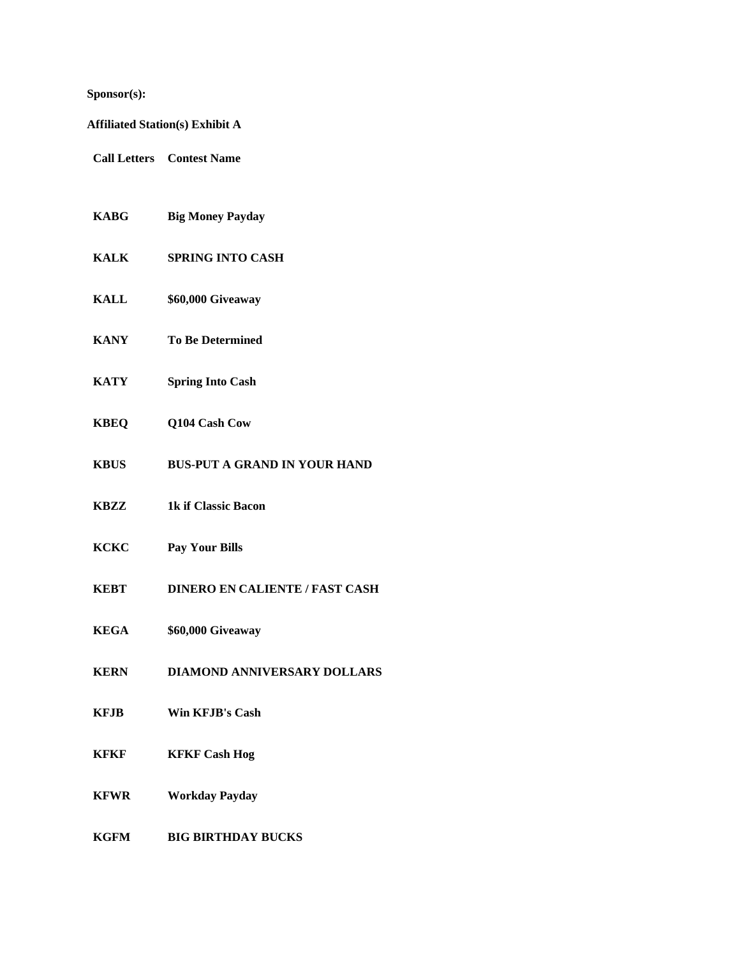## **Sponsor(s):**

**Affiliated Station(s) Exhibit A**

- **Call Letters Contest Name**
- **KABG Big Money Payday**
- **KALK SPRING INTO CASH**
- **KALL \$60,000 Giveaway**
- **KANY To Be Determined**
- **KATY Spring Into Cash**
- **KBEQ Q104 Cash Cow**
- **KBUS BUS-PUT A GRAND IN YOUR HAND**
- **KBZZ 1k if Classic Bacon**
- **KCKC Pay Your Bills**
- **KEBT DINERO EN CALIENTE / FAST CASH**
- **KEGA \$60,000 Giveaway**
- **KERN DIAMOND ANNIVERSARY DOLLARS**
- **KFJB Win KFJB's Cash**
- **KFKF KFKF Cash Hog**
- **KFWR Workday Payday**
- **KGFM BIG BIRTHDAY BUCKS**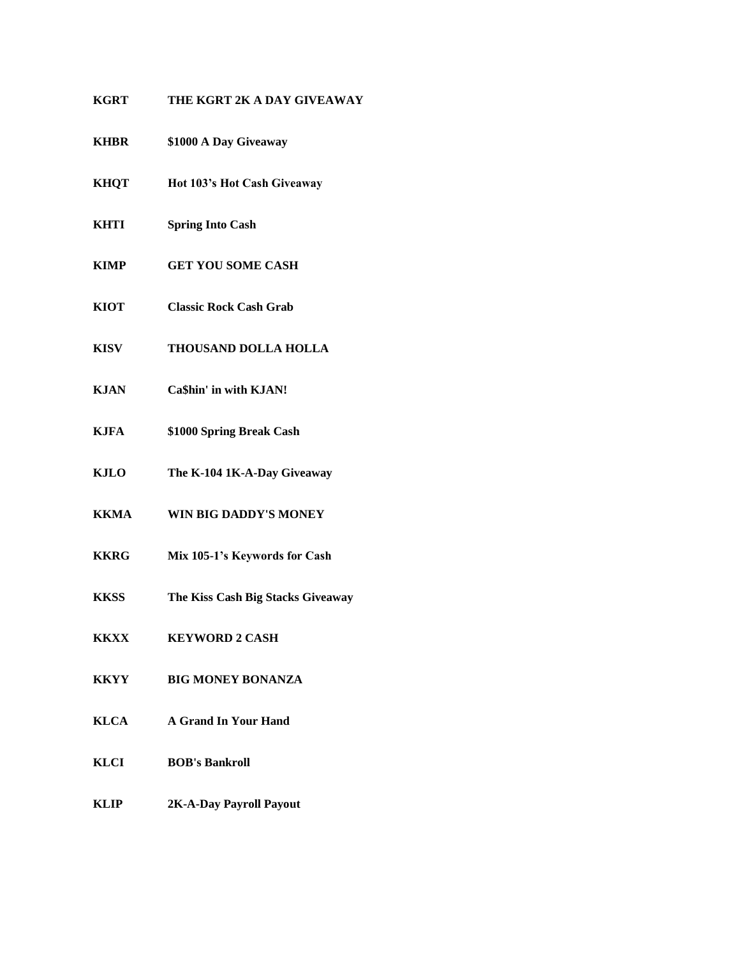# **KGRT THE KGRT 2K A DAY GIVEAWAY**

- **KHBR \$1000 A Day Giveaway**
- **KHQT Hot 103's Hot Cash Giveaway**
- **KHTI Spring Into Cash**
- **KIMP GET YOU SOME CASH**
- **KIOT Classic Rock Cash Grab**
- **KISV THOUSAND DOLLA HOLLA**
- **KJAN Ca\$hin' in with KJAN!**
- **KJFA \$1000 Spring Break Cash**
- **KJLO The K-104 1K-A-Day Giveaway**
- **KKMA WIN BIG DADDY'S MONEY**
- **KKRG Mix 105-1's Keywords for Cash**
- **KKSS The Kiss Cash Big Stacks Giveaway**
- **KKXX KEYWORD 2 CASH**
- **KKYY BIG MONEY BONANZA**
- **KLCA A Grand In Your Hand**
- **KLCI BOB's Bankroll**
- **KLIP 2K-A-Day Payroll Payout**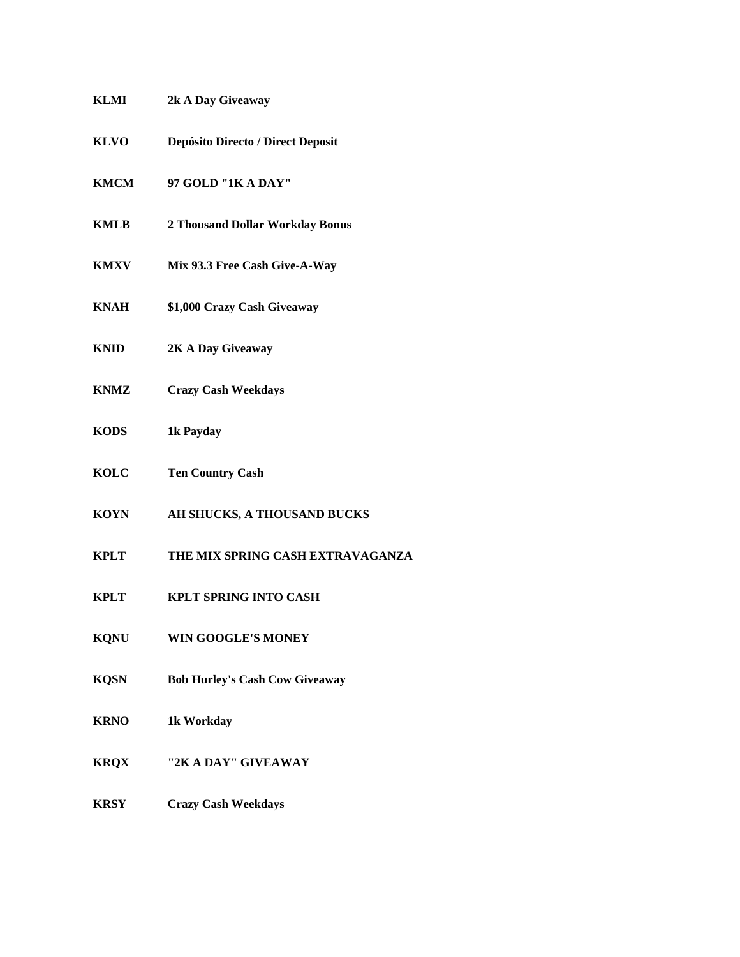| KLMI        | 2k A Day Giveaway                        |
|-------------|------------------------------------------|
| <b>KLVO</b> | <b>Depósito Directo / Direct Deposit</b> |
| <b>KMCM</b> | 97 GOLD "1K A DAY"                       |
| <b>KMLB</b> | 2 Thousand Dollar Workday Bonus          |
| <b>KMXV</b> | Mix 93.3 Free Cash Give-A-Way            |
| <b>KNAH</b> | \$1,000 Crazy Cash Giveaway              |
| <b>KNID</b> | 2K A Day Giveaway                        |
| <b>KNMZ</b> | <b>Crazy Cash Weekdays</b>               |
| <b>KODS</b> | 1k Payday                                |
| <b>KOLC</b> | <b>Ten Country Cash</b>                  |
| <b>KOYN</b> | AH SHUCKS, A THOUSAND BUCKS              |
| <b>KPLT</b> | THE MIX SPRING CASH EXTRAVAGANZA         |
| <b>KPLT</b> | <b>KPLT SPRING INTO CASH</b>             |
| <b>KQNU</b> | <b>WIN GOOGLE'S MONEY</b>                |
| <b>KQSN</b> | <b>Bob Hurley's Cash Cow Giveaway</b>    |
| <b>KRNO</b> | 1k Workday                               |
| <b>KRQX</b> | "2K A DAY" GIVEAWAY                      |
| <b>KRSY</b> | <b>Crazy Cash Weekdays</b>               |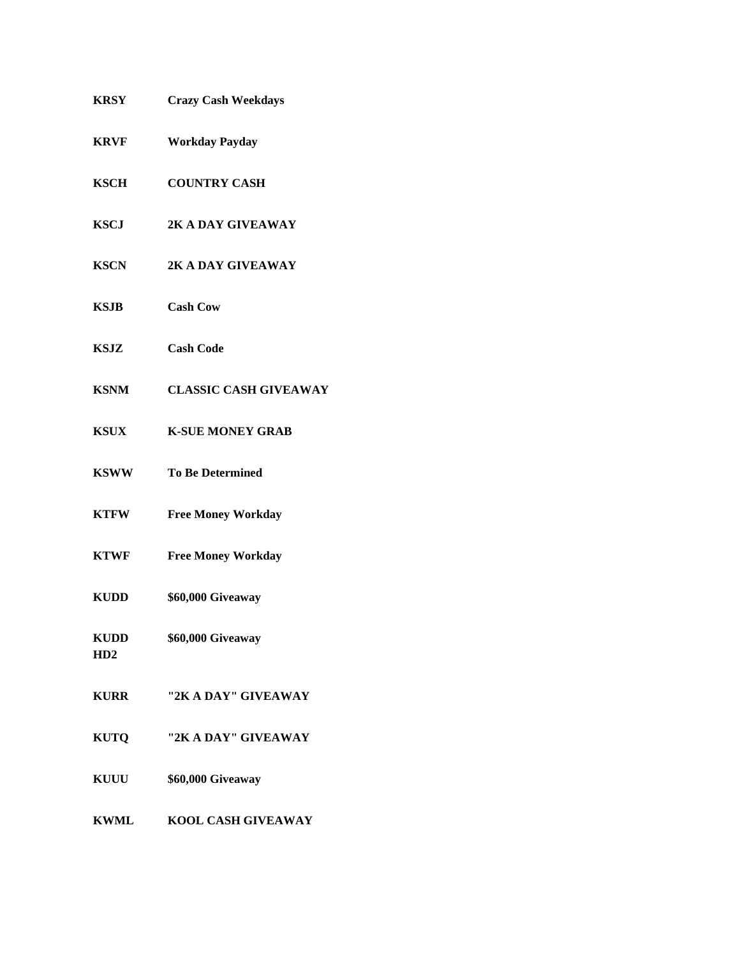| <b>KRSY</b>        | <b>Crazy Cash Weekdays</b>   |
|--------------------|------------------------------|
| <b>KRVF</b>        | <b>Workday Payday</b>        |
| <b>KSCH</b>        | <b>COUNTRY CASH</b>          |
| <b>KSCJ</b>        | 2K A DAY GIVEAWAY            |
| <b>KSCN</b>        | 2K A DAY GIVEAWAY            |
| <b>KSJB</b>        | <b>Cash Cow</b>              |
| KSJZ               | <b>Cash Code</b>             |
| <b>KSNM</b>        | <b>CLASSIC CASH GIVEAWAY</b> |
| <b>KSUX</b>        | <b>K-SUE MONEY GRAB</b>      |
| <b>KSWW</b>        | <b>To Be Determined</b>      |
| <b>KTFW</b>        | <b>Free Money Workday</b>    |
| <b>KTWF</b>        | <b>Free Money Workday</b>    |
| <b>KUDD</b>        | \$60,000 Giveaway            |
| <b>KUDD</b><br>HD2 | \$60,000 Giveaway            |
| <b>KURR</b>        | "2K A DAY" GIVEAWAY          |
| <b>KUTQ</b>        | "2K A DAY" GIVEAWAY          |
| <b>KUUU</b>        | \$60,000 Giveaway            |
| <b>KWML</b>        | KOOL CASH GIVEAWAY           |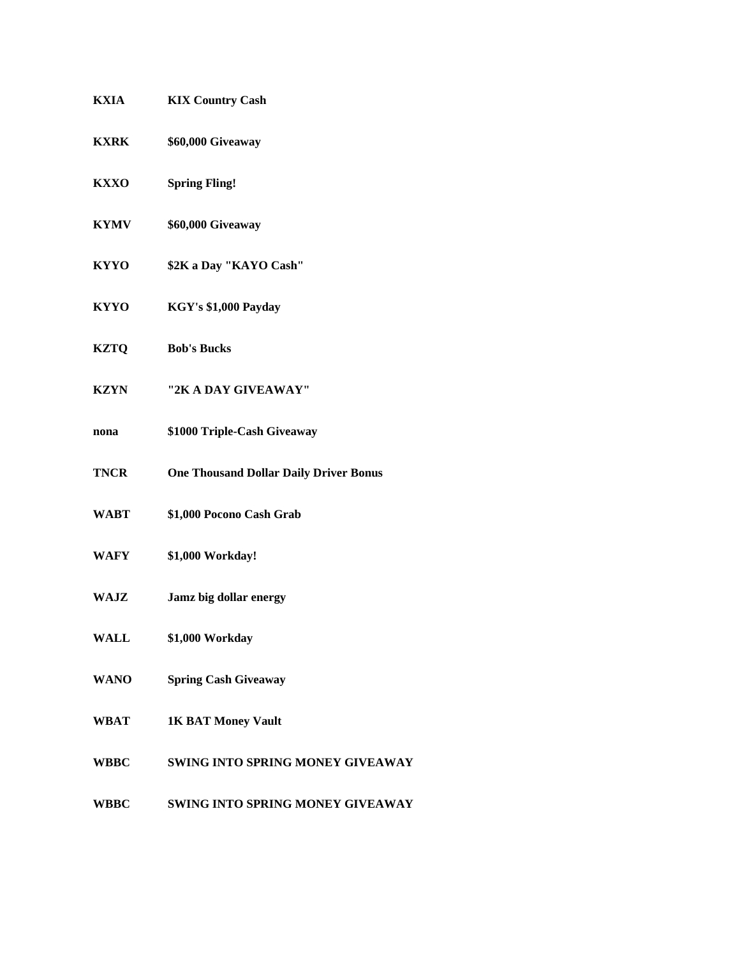| <b>KXIA</b> | <b>KIX Country Cash</b>                       |
|-------------|-----------------------------------------------|
| <b>KXRK</b> | \$60,000 Giveaway                             |
| <b>KXXO</b> | <b>Spring Fling!</b>                          |
| <b>KYMV</b> | \$60,000 Giveaway                             |
| <b>KYYO</b> | \$2K a Day "KAYO Cash"                        |
| <b>KYYO</b> | KGY's \$1,000 Payday                          |
| <b>KZTQ</b> | <b>Bob's Bucks</b>                            |
| <b>KZYN</b> | "2K A DAY GIVEAWAY"                           |
| nona        | \$1000 Triple-Cash Giveaway                   |
| <b>TNCR</b> | <b>One Thousand Dollar Daily Driver Bonus</b> |
| <b>WABT</b> | \$1,000 Pocono Cash Grab                      |
| WAFY        | \$1,000 Workday!                              |
| WAJZ        | Jamz big dollar energy                        |
| WALL        | \$1,000 Workday                               |
| <b>WANO</b> | <b>Spring Cash Giveaway</b>                   |
| <b>WBAT</b> | <b>1K BAT Money Vault</b>                     |
| <b>WBBC</b> | SWING INTO SPRING MONEY GIVEAWAY              |
| <b>WBBC</b> | SWING INTO SPRING MONEY GIVEAWAY              |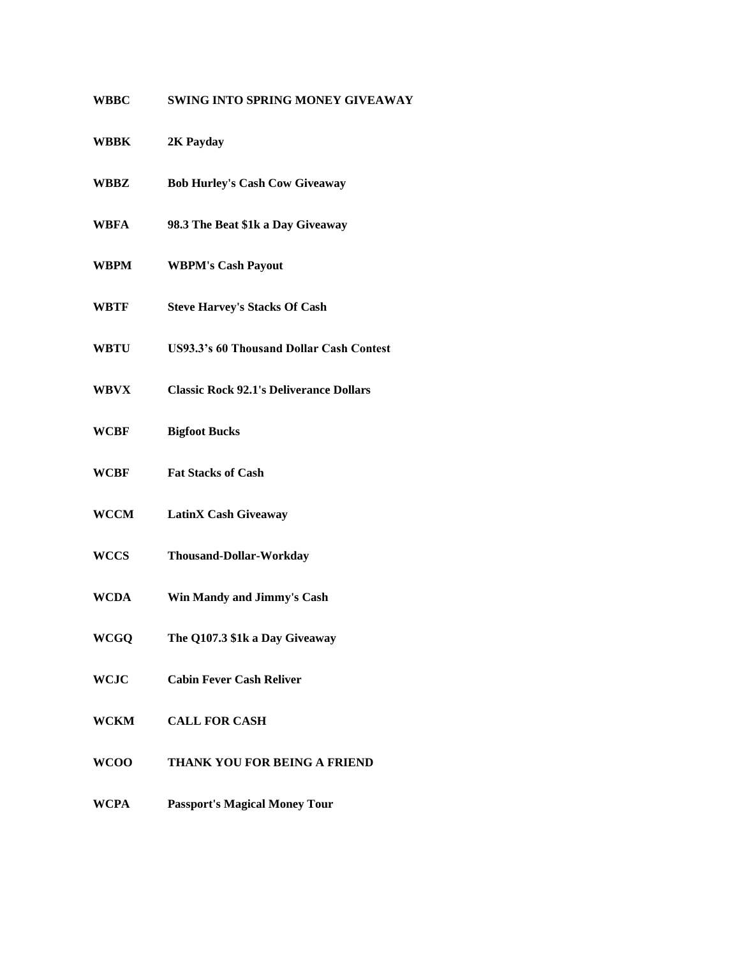## **WBBC SWING INTO SPRING MONEY GIVEAWAY**

| WBBK | 2K Payday |
|------|-----------|
|------|-----------|

- **WBBZ Bob Hurley's Cash Cow Giveaway**
- **WBFA 98.3 The Beat \$1k a Day Giveaway**
- **WBPM WBPM's Cash Payout**
- **WBTF Steve Harvey's Stacks Of Cash**
- **WBTU US93.3's 60 Thousand Dollar Cash Contest**
- **WBVX Classic Rock 92.1's Deliverance Dollars**
- **WCBF Bigfoot Bucks**
- **WCBF Fat Stacks of Cash**
- **WCCM LatinX Cash Giveaway**
- **WCCS Thousand-Dollar-Workday**
- **WCDA Win Mandy and Jimmy's Cash**
- **WCGQ The Q107.3 \$1k a Day Giveaway**
- **WCJC Cabin Fever Cash Reliver**
- **WCKM CALL FOR CASH**
- **WCOO THANK YOU FOR BEING A FRIEND**
- **WCPA Passport's Magical Money Tour**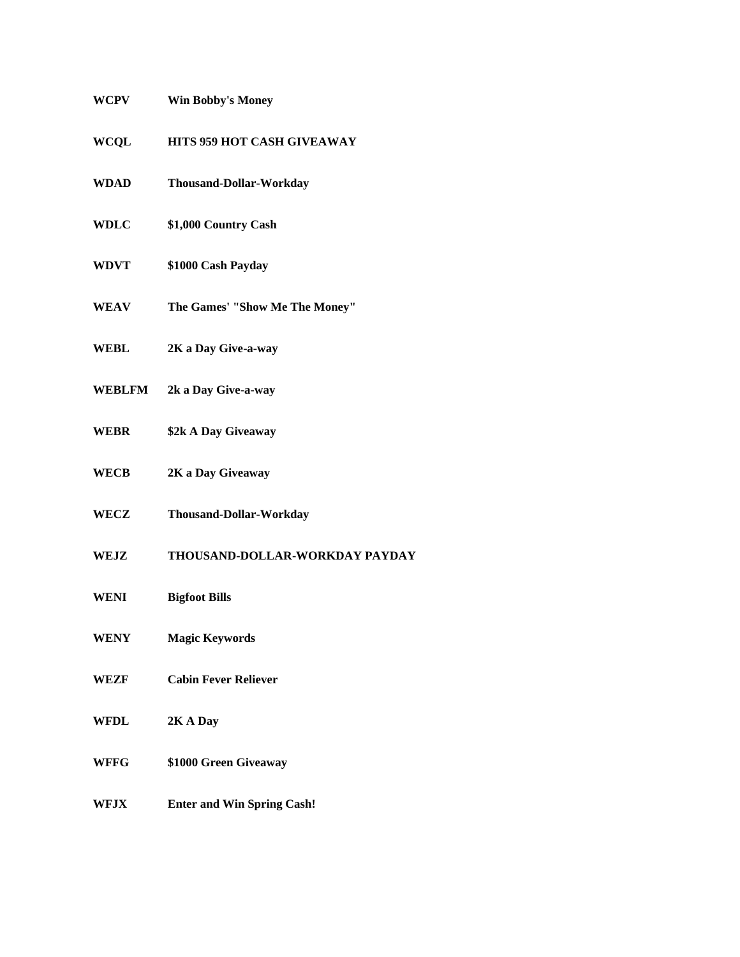| WCPV        | <b>Win Bobby's Money</b>          |
|-------------|-----------------------------------|
| <b>WCQL</b> | HITS 959 HOT CASH GIVEAWAY        |
| <b>WDAD</b> | <b>Thousand-Dollar-Workday</b>    |
| <b>WDLC</b> | \$1,000 Country Cash              |
| <b>WDVT</b> | \$1000 Cash Payday                |
| WEAV        | The Games' "Show Me The Money"    |
| WEBL        | 2K a Day Give-a-way               |
|             | <b>WEBLFM</b> 2k a Day Give-a-way |
| <b>WEBR</b> | \$2k A Day Giveaway               |
| <b>WECB</b> | 2K a Day Giveaway                 |
| WECZ        | Thousand-Dollar-Workday           |
| WEJZ        | THOUSAND-DOLLAR-WORKDAY PAYDAY    |
| WENI        | <b>Bigfoot Bills</b>              |
| WENY        | <b>Magic Keywords</b>             |
| <b>WEZF</b> | <b>Cabin Fever Reliever</b>       |
| WFDL        | 2K A Day                          |
| WFFG        | \$1000 Green Giveaway             |
| WFJX        | <b>Enter and Win Spring Cash!</b> |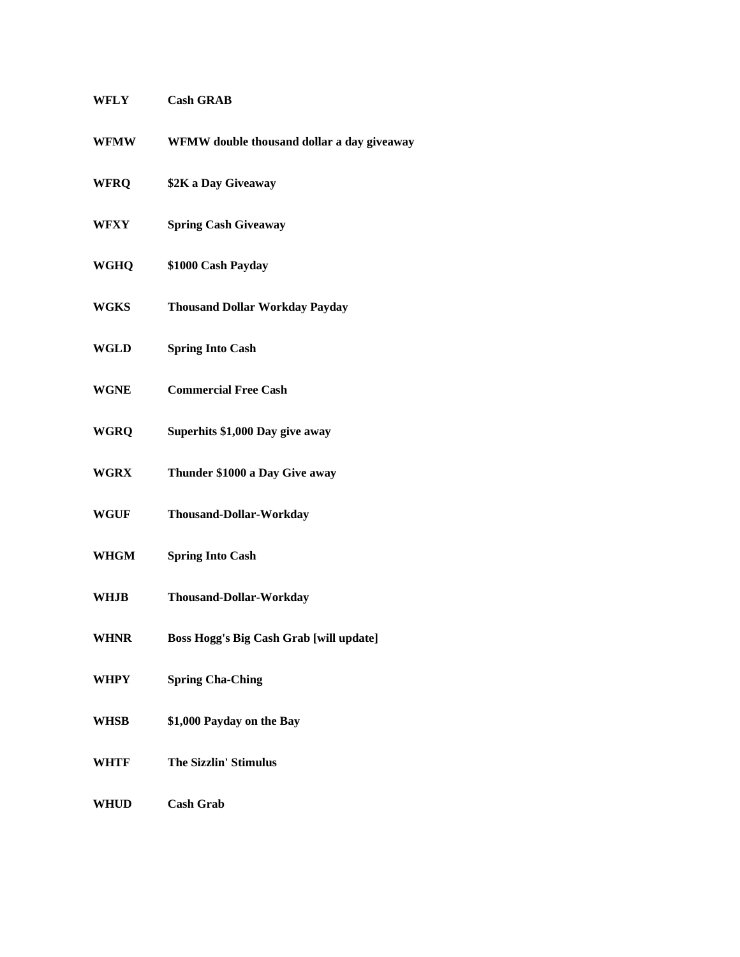| WFLY        | <b>Cash GRAB</b>                           |
|-------------|--------------------------------------------|
| <b>WFMW</b> | WFMW double thousand dollar a day giveaway |
| WFRQ        | \$2K a Day Giveaway                        |
| WFXY        | <b>Spring Cash Giveaway</b>                |
| WGHQ        | \$1000 Cash Payday                         |
| WGKS        | <b>Thousand Dollar Workday Payday</b>      |
| WGLD        | <b>Spring Into Cash</b>                    |
| <b>WGNE</b> | <b>Commercial Free Cash</b>                |
| <b>WGRQ</b> | Superhits \$1,000 Day give away            |
| WGRX        | Thunder \$1000 a Day Give away             |
| WGUF        | <b>Thousand-Dollar-Workday</b>             |
| WHGM        | <b>Spring Into Cash</b>                    |
| WHJB        | <b>Thousand-Dollar-Workday</b>             |
| <b>WHNR</b> | Boss Hogg's Big Cash Grab [will update]    |
| WHPY        | <b>Spring Cha-Ching</b>                    |
| WHSB        | \$1,000 Payday on the Bay                  |
| WHTF        | <b>The Sizzlin' Stimulus</b>               |
| <b>WHUD</b> | <b>Cash Grab</b>                           |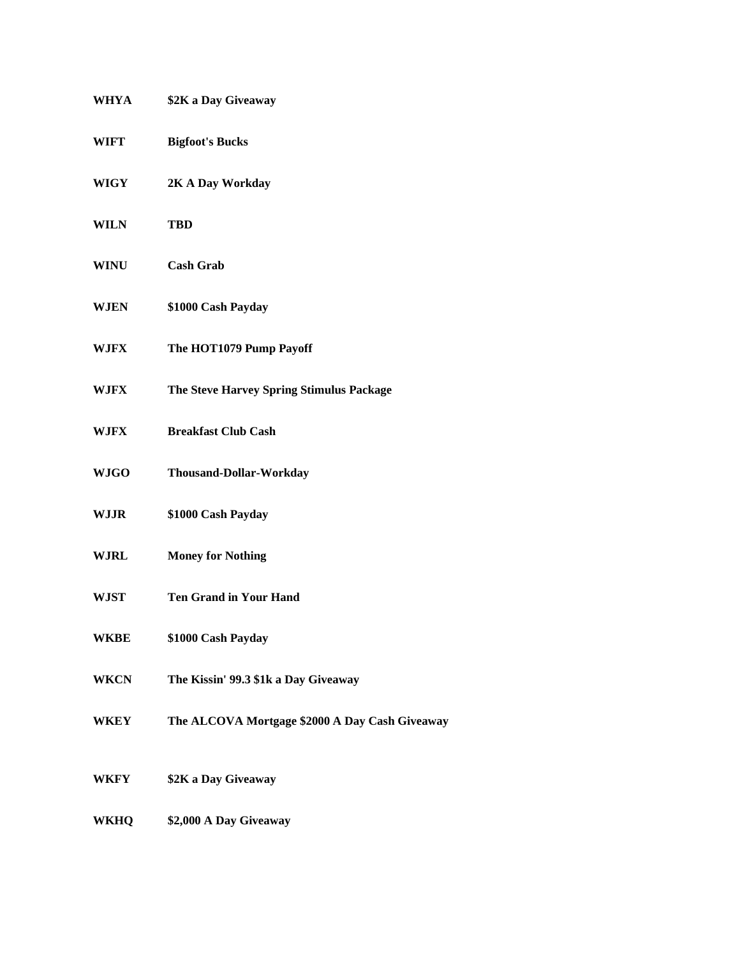| WHYA        | \$2K a Day Giveaway                            |
|-------------|------------------------------------------------|
| WIFT        | <b>Bigfoot's Bucks</b>                         |
| WIGY        | 2K A Day Workday                               |
| <b>WILN</b> | <b>TBD</b>                                     |
| <b>WINU</b> | <b>Cash Grab</b>                               |
| WJEN        | \$1000 Cash Payday                             |
| W.IFX       | The HOT1079 Pump Payoff                        |
| WJFX        | The Steve Harvey Spring Stimulus Package       |
| WJFX        | <b>Breakfast Club Cash</b>                     |
| <b>WJGO</b> | <b>Thousand-Dollar-Workday</b>                 |
| <b>WJJR</b> | \$1000 Cash Payday                             |
| WJRL        | <b>Money for Nothing</b>                       |
| WJST        | <b>Ten Grand in Your Hand</b>                  |
| <b>WKBE</b> | \$1000 Cash Payday                             |
| <b>WKCN</b> | The Kissin' 99.3 \$1k a Day Giveaway           |
| WKEY        | The ALCOVA Mortgage \$2000 A Day Cash Giveaway |
| WKFY        | \$2K a Day Giveaway                            |
| WKHQ        | \$2,000 A Day Giveaway                         |
|             |                                                |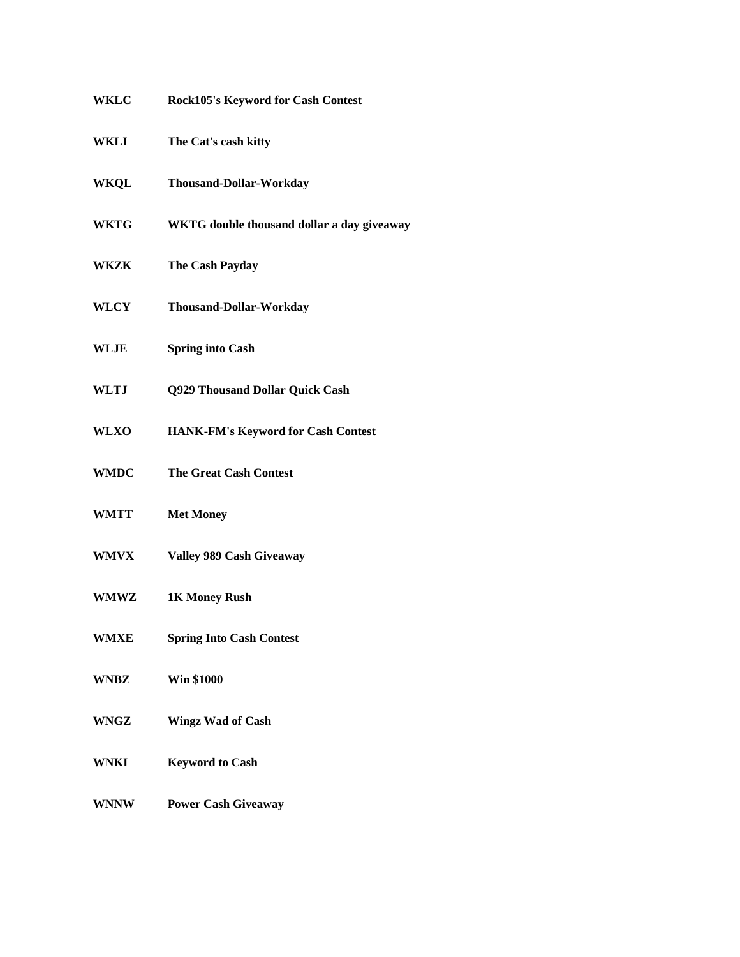| <b>WKLC</b> | <b>Rock105's Keyword for Cash Contest</b>  |
|-------------|--------------------------------------------|
| WKLI        | The Cat's cash kitty                       |
| <b>WKQL</b> | Thousand-Dollar-Workday                    |
| <b>WKTG</b> | WKTG double thousand dollar a day giveaway |
| WKZK        | The Cash Payday                            |
| <b>WLCY</b> | <b>Thousand-Dollar-Workday</b>             |
| WLJE        | <b>Spring into Cash</b>                    |
| WLTJ        | Q929 Thousand Dollar Quick Cash            |
| <b>WLXO</b> | HANK-FM's Keyword for Cash Contest         |
| <b>WMDC</b> | <b>The Great Cash Contest</b>              |
| <b>WMTT</b> | <b>Met Money</b>                           |
| <b>WMVX</b> | Valley 989 Cash Giveaway                   |
| <b>WMWZ</b> | 1K Money Rush                              |
| <b>WMXE</b> | <b>Spring Into Cash Contest</b>            |
| <b>WNBZ</b> | <b>Win \$1000</b>                          |
| WNGZ        | <b>Wingz Wad of Cash</b>                   |
| WNKI        | <b>Keyword to Cash</b>                     |
| <b>WNNW</b> | <b>Power Cash Giveaway</b>                 |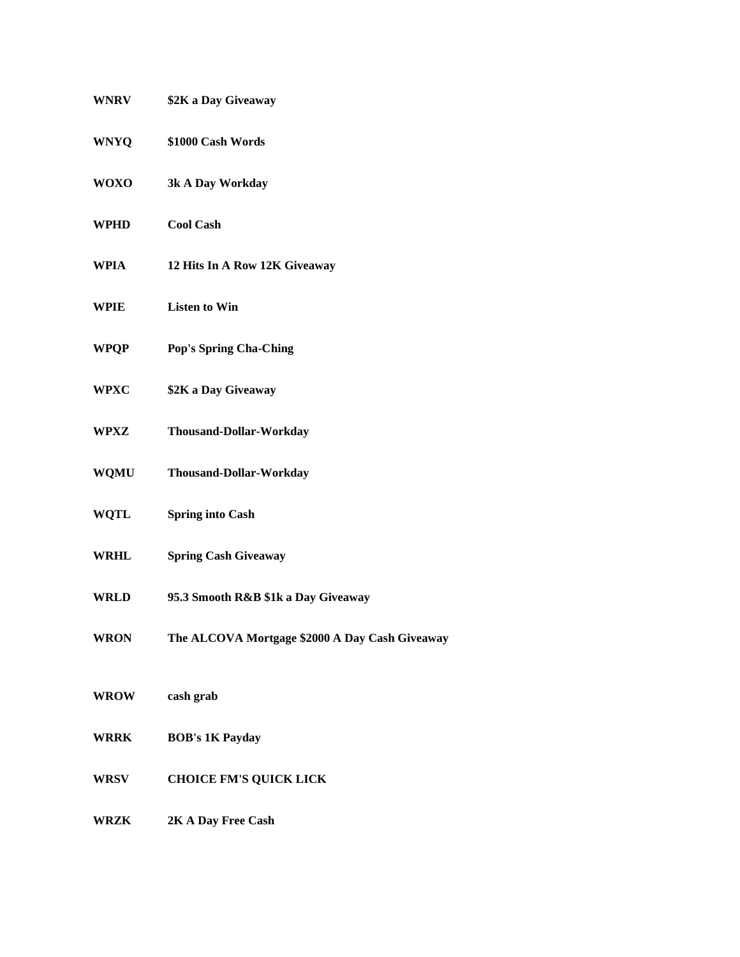| <b>WNRV</b> | \$2K a Day Giveaway                            |
|-------------|------------------------------------------------|
| <b>WNYQ</b> | \$1000 Cash Words                              |
| <b>WOXO</b> | 3k A Day Workday                               |
| WPHD        | <b>Cool Cash</b>                               |
| WPIA        | 12 Hits In A Row 12K Giveaway                  |
| WPIE        | <b>Listen to Win</b>                           |
| WPQP        | <b>Pop's Spring Cha-Ching</b>                  |
| <b>WPXC</b> | \$2K a Day Giveaway                            |
| WPXZ        | Thousand-Dollar-Workday                        |
| <b>WQMU</b> | Thousand-Dollar-Workday                        |
| <b>WQTL</b> | <b>Spring into Cash</b>                        |
| <b>WRHL</b> | <b>Spring Cash Giveaway</b>                    |
| WRLD        | 95.3 Smooth R&B \$1k a Day Giveaway            |
| <b>WRON</b> | The ALCOVA Mortgage \$2000 A Day Cash Giveaway |
| <b>WROW</b> | cash grab                                      |
| <b>WRRK</b> | <b>BOB's 1K Payday</b>                         |
| WRSV        | <b>CHOICE FM'S QUICK LICK</b>                  |
| <b>WRZK</b> | 2K A Day Free Cash                             |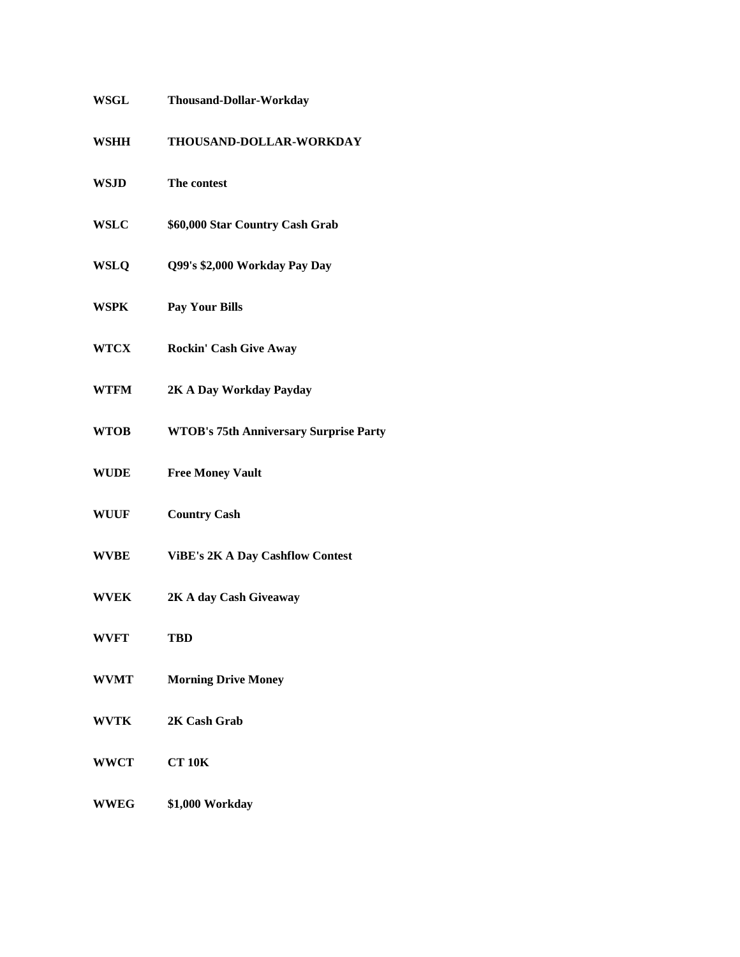| <b>WSGL</b> | <b>Thousand-Dollar-Workday</b>                |
|-------------|-----------------------------------------------|
| <b>WSHH</b> | THOUSAND-DOLLAR-WORKDAY                       |
| <b>WSJD</b> | The contest                                   |
| <b>WSLC</b> | \$60,000 Star Country Cash Grab               |
| <b>WSLQ</b> | Q99's \$2,000 Workday Pay Day                 |
| <b>WSPK</b> | <b>Pay Your Bills</b>                         |
| <b>WTCX</b> | <b>Rockin' Cash Give Away</b>                 |
| <b>WTFM</b> | 2K A Day Workday Payday                       |
| <b>WTOB</b> | <b>WTOB's 75th Anniversary Surprise Party</b> |
| <b>WUDE</b> | <b>Free Money Vault</b>                       |
| <b>WUUF</b> | <b>Country Cash</b>                           |
| <b>WVBE</b> | <b>ViBE's 2K A Day Cashflow Contest</b>       |
| <b>WVEK</b> | 2K A day Cash Giveaway                        |
| <b>WVFT</b> | <b>TBD</b>                                    |
| <b>WVMT</b> | <b>Morning Drive Money</b>                    |
| <b>WVTK</b> | 2K Cash Grab                                  |
| <b>WWCT</b> | <b>CT 10K</b>                                 |
| <b>WWEG</b> | \$1,000 Workday                               |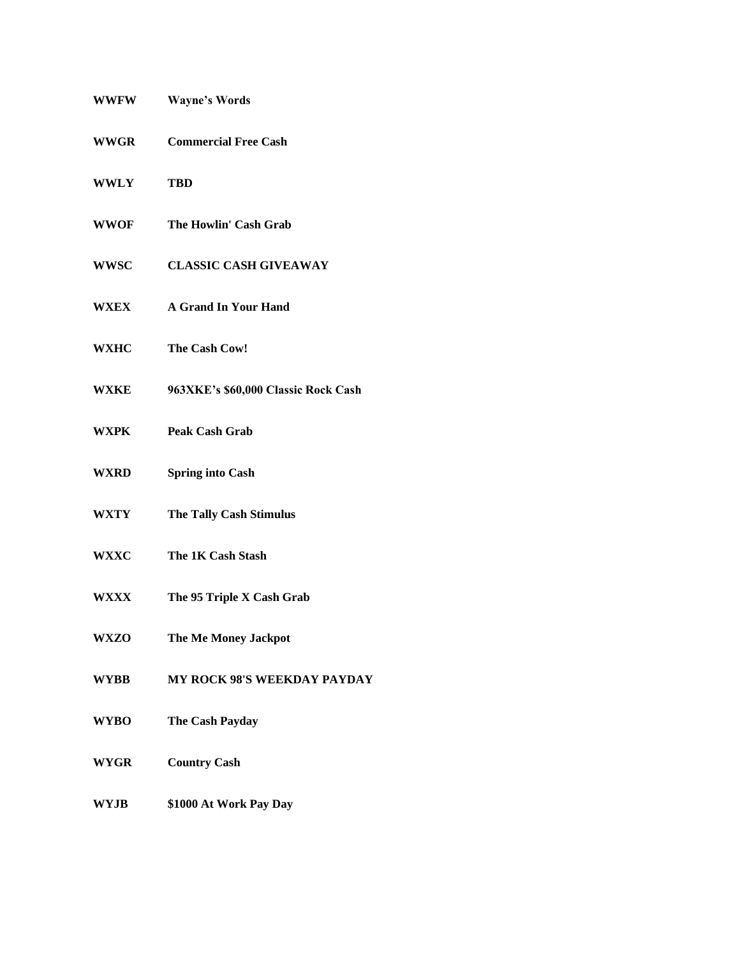| <b>WWFW</b> | <b>Wayne's Words</b>                |
|-------------|-------------------------------------|
| <b>WWGR</b> | <b>Commercial Free Cash</b>         |
| <b>WWLY</b> | <b>TBD</b>                          |
| <b>WWOF</b> | The Howlin' Cash Grab               |
| <b>WWSC</b> | <b>CLASSIC CASH GIVEAWAY</b>        |
| <b>WXEX</b> | <b>A Grand In Your Hand</b>         |
| <b>WXHC</b> | The Cash Cow!                       |
| <b>WXKE</b> | 963XKE's \$60,000 Classic Rock Cash |
| <b>WXPK</b> | <b>Peak Cash Grab</b>               |
| WXRD        | <b>Spring into Cash</b>             |
| WXTY        | <b>The Tally Cash Stimulus</b>      |
| <b>WXXC</b> | The 1K Cash Stash                   |
| WXXX        | The 95 Triple X Cash Grab           |
| <b>WXZO</b> | The Me Money Jackpot                |
| <b>WYBB</b> | <b>MY ROCK 98'S WEEKDAY PAYDAY</b>  |
| <b>WYBO</b> | The Cash Payday                     |
| <b>WYGR</b> | <b>Country Cash</b>                 |
| <b>WYJB</b> | \$1000 At Work Pay Day              |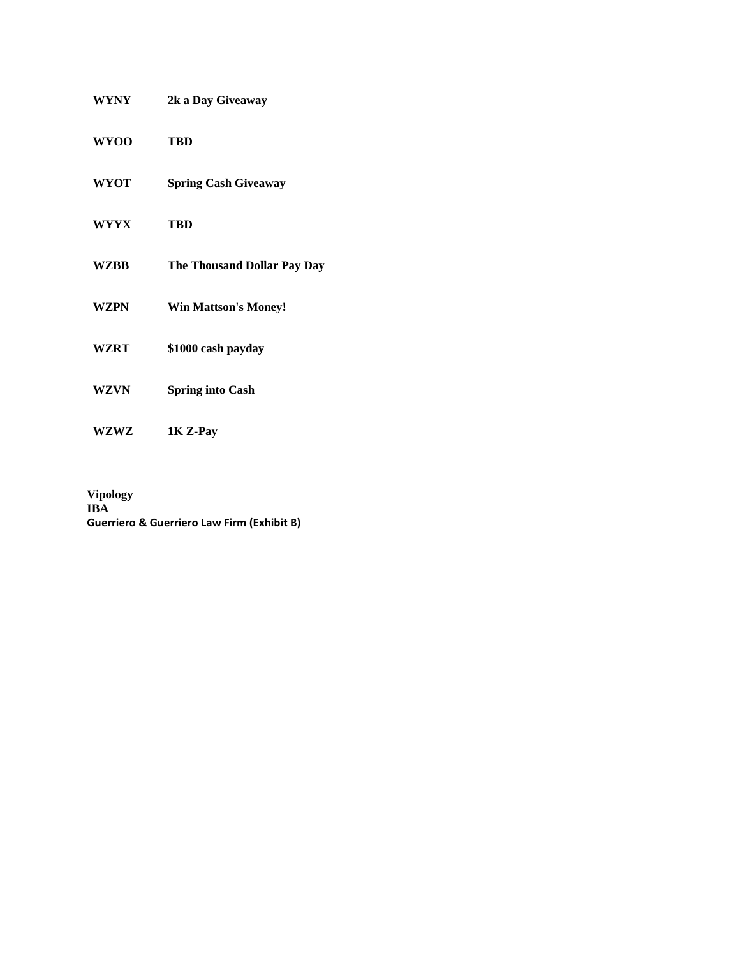| <b>WYNY</b> | 2k a Day Giveaway                  |
|-------------|------------------------------------|
| <b>WYOO</b> | TBD                                |
| <b>WYOT</b> | <b>Spring Cash Giveaway</b>        |
| <b>WYYX</b> | <b>TBD</b>                         |
| <b>WZBB</b> | <b>The Thousand Dollar Pay Day</b> |
| <b>WZPN</b> | <b>Win Mattson's Money!</b>        |
| <b>WZRT</b> | \$1000 cash payday                 |
| <b>WZVN</b> | <b>Spring into Cash</b>            |
| <b>WZWZ</b> | 1K Z-Pay                           |

**Vipology IBA Guerriero & Guerriero Law Firm (Exhibit B)**